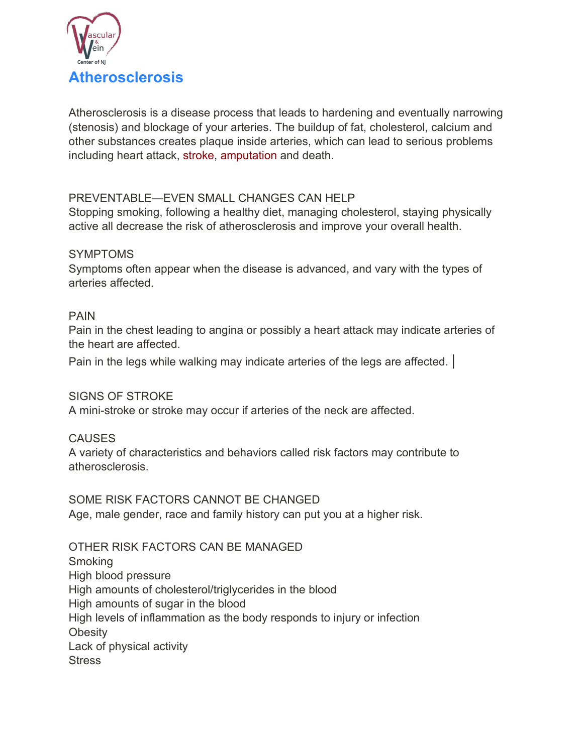

Atherosclerosis is a disease process that leads to hardening and eventually narrowing (stenosis) and blockage of your arteries. The buildup of fat, cholesterol, calcium and other substances creates plaque inside arteries, which can lead to serious problems including heart attack, stroke, amputation and death.

# PREVENTABLE—EVEN SMALL CHANGES CAN HELP

Stopping smoking, following a healthy diet, managing cholesterol, staying physically active all decrease the risk of atherosclerosis and improve your overall health.

### **SYMPTOMS**

Symptoms often appear when the disease is advanced, and vary with the types of arteries affected.

# PAIN

Pain in the chest leading to angina or possibly a heart attack may indicate arteries of the heart are affected.

Pain in the legs while walking may indicate arteries of the legs are affected. |

# SIGNS OF STROKE

A mini-stroke or stroke may occur if arteries of the neck are affected.

# **CAUSES**

A variety of characteristics and behaviors called risk factors may contribute to atherosclerosis.

SOME RISK FACTORS CANNOT BE CHANGED Age, male gender, race and family history can put you at a higher risk.

OTHER RISK FACTORS CAN BE MANAGED **Smoking** High blood pressure High amounts of cholesterol/triglycerides in the blood High amounts of sugar in the blood High levels of inflammation as the body responds to injury or infection **Obesity** Lack of physical activity **Stress**